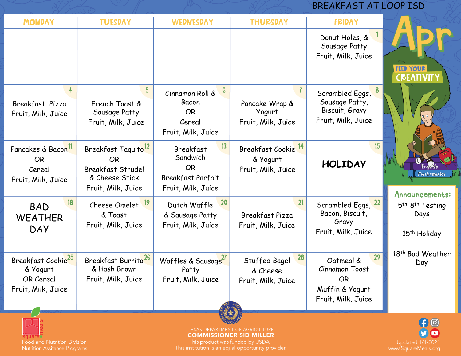## BREAKFAST AT LOOP ISD

| <b>MONDAY</b>                                                                        | <b>TUESDAY</b>                                                                                                   | WEDNESDAY                                                                                         | <b>THURSDAY</b>                                                  | <b>FRIDAY</b>                                                                                  |                                                                              |
|--------------------------------------------------------------------------------------|------------------------------------------------------------------------------------------------------------------|---------------------------------------------------------------------------------------------------|------------------------------------------------------------------|------------------------------------------------------------------------------------------------|------------------------------------------------------------------------------|
|                                                                                      |                                                                                                                  |                                                                                                   |                                                                  | Donut Holes, &<br>Sausage Patty<br>Fruit, Milk, Juice                                          | <b>FEED YOUR</b><br><b>CREATIV</b>                                           |
| Breakfast Pizza<br>Fruit, Milk, Juice                                                | French Toast &<br>Sausage Patty<br>Fruit, Milk, Juice                                                            | $\epsilon$<br>Cinnamon Roll &<br>Bacon<br><b>OR</b><br>Cereal<br>Fruit, Milk, Juice               | Pancake Wrap &<br>Yogurt<br>Fruit, Milk, Juice                   | Scrambled Eggs,<br>Sausage Patty,<br>Biscuit, Gravy<br>Fruit, Milk, Juice                      |                                                                              |
| Pancakes & Bacon <sup>11</sup><br><b>OR</b><br>Cereal<br>Fruit, Milk, Juice          | Breakfast Taquito <sup>12</sup><br><b>OR</b><br><b>Breakfast Strudel</b><br>& Cheese Stick<br>Fruit, Milk, Juice | 13<br><b>Breakfast</b><br>Sandwich<br><b>OR</b><br><b>Breakfast Parfait</b><br>Fruit, Milk, Juice | Breakfast Cookie <sup>14</sup><br>& Yogurt<br>Fruit, Milk, Juice | 15<br><b>HOLIDAY</b>                                                                           | Mathematics<br>Announcements:                                                |
| 18<br><b>BAD</b><br><b>WEATHER</b><br><b>DAY</b>                                     | 19<br>Cheese Omelet<br>& Toast<br>Fruit, Milk, Juice                                                             | 20<br>Dutch Waffle<br>& Sausage Patty<br>Fruit, Milk, Juice                                       | 21<br>Breakfast Pizza<br>Fruit, Milk, Juice                      | Scrambled Eggs, 22<br>Bacon, Biscuit,<br>Gravy<br>Fruit, Milk, Juice                           | 5 <sup>th</sup> -8 <sup>th</sup> Testing<br>Days<br>15 <sup>th</sup> Holiday |
| Breakfast Cookie <sup>25</sup><br>& Yogurt<br><b>OR Cereal</b><br>Fruit, Milk, Juice | Breakfast Burrito <sup>26</sup><br>& Hash Brown<br>Fruit, Milk, Juice                                            | Waffles & Sausage <sup>27</sup><br>Patty<br>Fruit, Milk, Juice                                    | 28<br>Stuffed Bagel<br>& Cheese<br>Fruit, Milk, Juice            | 29<br>Oatmeal &<br><b>Cinnamon Toast</b><br><b>OR</b><br>Muffin & Yogurt<br>Fruit, Milk, Juice | 18 <sup>th</sup> Bad Weather<br>Day                                          |
| Food and Nutrition Division<br>Nutrition Assitance Programs                          | $f$ <sup><math>\odot</math></sup><br>Updated 1/1/2021<br>www.SquareMeals.org                                     |                                                                                                   |                                                                  |                                                                                                |                                                                              |